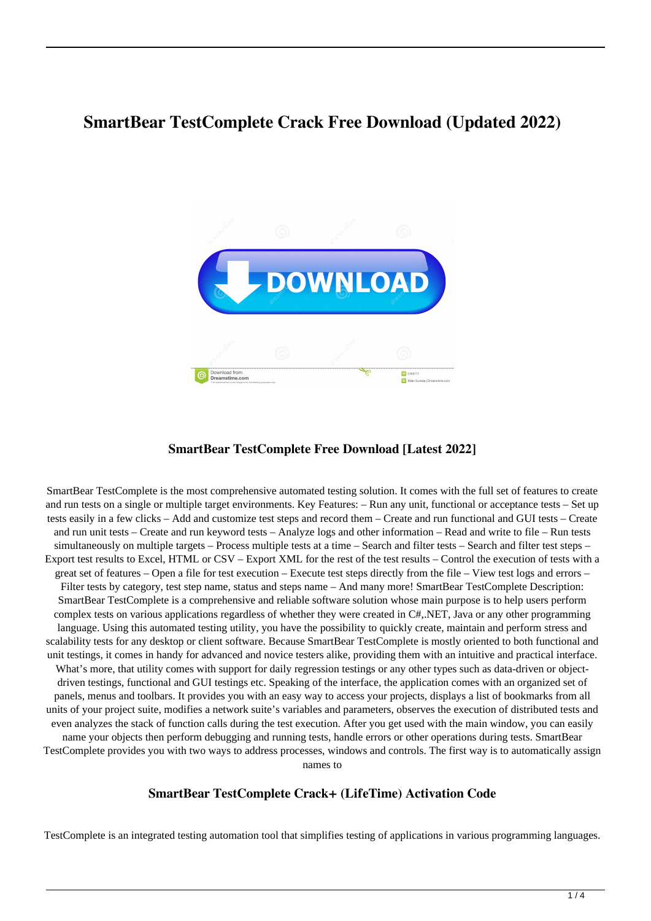# **SmartBear TestComplete Crack Free Download (Updated 2022)**



### **SmartBear TestComplete Free Download [Latest 2022]**

SmartBear TestComplete is the most comprehensive automated testing solution. It comes with the full set of features to create and run tests on a single or multiple target environments. Key Features: – Run any unit, functional or acceptance tests – Set up tests easily in a few clicks – Add and customize test steps and record them – Create and run functional and GUI tests – Create and run unit tests – Create and run keyword tests – Analyze logs and other information – Read and write to file – Run tests simultaneously on multiple targets – Process multiple tests at a time – Search and filter tests – Search and filter test steps – Export test results to Excel, HTML or CSV – Export XML for the rest of the test results – Control the execution of tests with a great set of features – Open a file for test execution – Execute test steps directly from the file – View test logs and errors – Filter tests by category, test step name, status and steps name – And many more! SmartBear TestComplete Description: SmartBear TestComplete is a comprehensive and reliable software solution whose main purpose is to help users perform complex tests on various applications regardless of whether they were created in C#,.NET, Java or any other programming language. Using this automated testing utility, you have the possibility to quickly create, maintain and perform stress and scalability tests for any desktop or client software. Because SmartBear TestComplete is mostly oriented to both functional and unit testings, it comes in handy for advanced and novice testers alike, providing them with an intuitive and practical interface. What's more, that utility comes with support for daily regression testings or any other types such as data-driven or objectdriven testings, functional and GUI testings etc. Speaking of the interface, the application comes with an organized set of panels, menus and toolbars. It provides you with an easy way to access your projects, displays a list of bookmarks from all units of your project suite, modifies a network suite's variables and parameters, observes the execution of distributed tests and even analyzes the stack of function calls during the test execution. After you get used with the main window, you can easily name your objects then perform debugging and running tests, handle errors or other operations during tests. SmartBear TestComplete provides you with two ways to address processes, windows and controls. The first way is to automatically assign names to

# **SmartBear TestComplete Crack+ (LifeTime) Activation Code**

TestComplete is an integrated testing automation tool that simplifies testing of applications in various programming languages.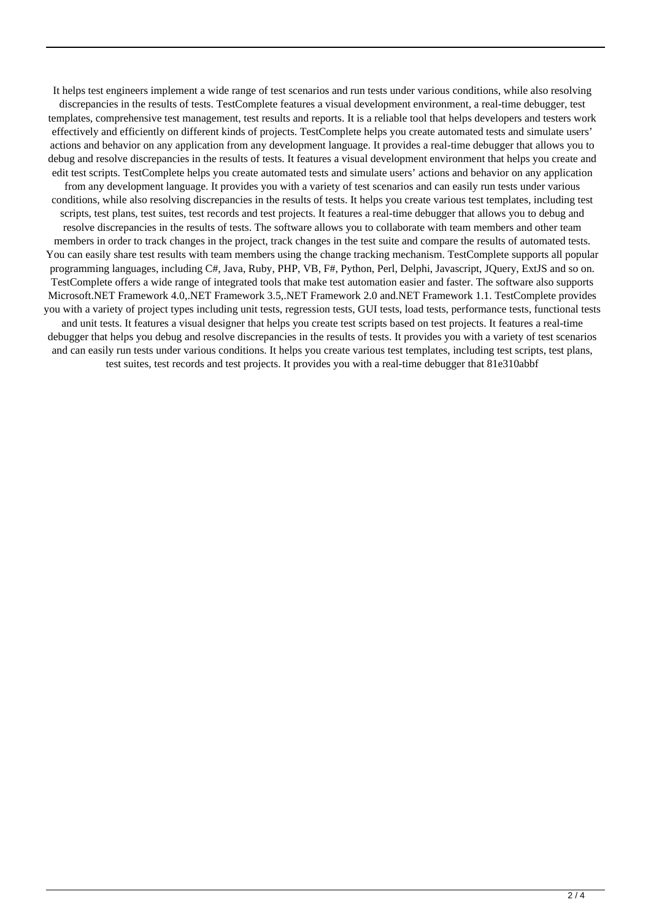It helps test engineers implement a wide range of test scenarios and run tests under various conditions, while also resolving discrepancies in the results of tests. TestComplete features a visual development environment, a real-time debugger, test templates, comprehensive test management, test results and reports. It is a reliable tool that helps developers and testers work effectively and efficiently on different kinds of projects. TestComplete helps you create automated tests and simulate users' actions and behavior on any application from any development language. It provides a real-time debugger that allows you to debug and resolve discrepancies in the results of tests. It features a visual development environment that helps you create and edit test scripts. TestComplete helps you create automated tests and simulate users' actions and behavior on any application from any development language. It provides you with a variety of test scenarios and can easily run tests under various conditions, while also resolving discrepancies in the results of tests. It helps you create various test templates, including test scripts, test plans, test suites, test records and test projects. It features a real-time debugger that allows you to debug and resolve discrepancies in the results of tests. The software allows you to collaborate with team members and other team members in order to track changes in the project, track changes in the test suite and compare the results of automated tests. You can easily share test results with team members using the change tracking mechanism. TestComplete supports all popular programming languages, including C#, Java, Ruby, PHP, VB, F#, Python, Perl, Delphi, Javascript, JQuery, ExtJS and so on. TestComplete offers a wide range of integrated tools that make test automation easier and faster. The software also supports Microsoft.NET Framework 4.0,.NET Framework 3.5,.NET Framework 2.0 and.NET Framework 1.1. TestComplete provides you with a variety of project types including unit tests, regression tests, GUI tests, load tests, performance tests, functional tests and unit tests. It features a visual designer that helps you create test scripts based on test projects. It features a real-time debugger that helps you debug and resolve discrepancies in the results of tests. It provides you with a variety of test scenarios and can easily run tests under various conditions. It helps you create various test templates, including test scripts, test plans, test suites, test records and test projects. It provides you with a real-time debugger that 81e310abbf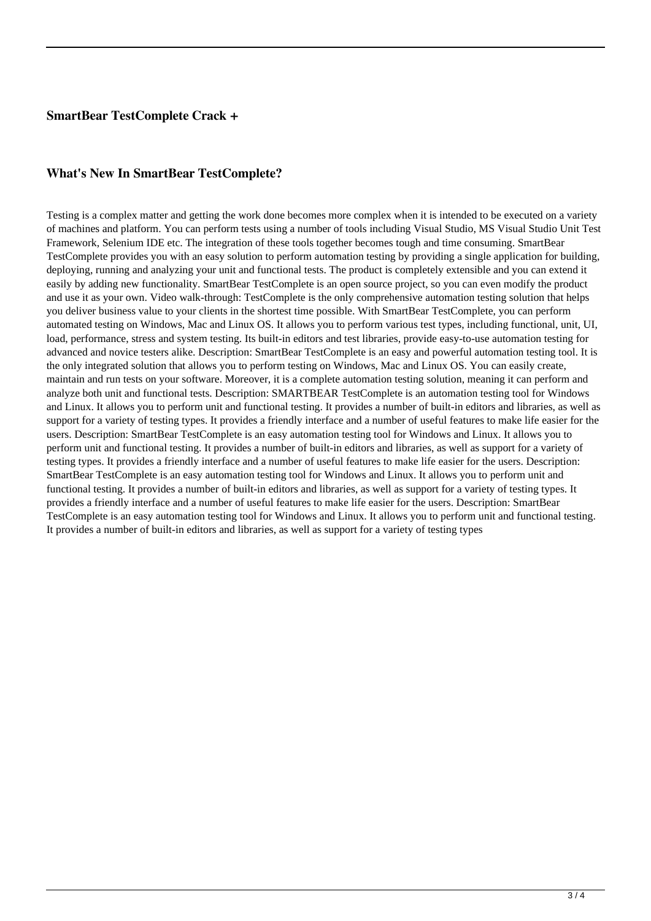### **SmartBear TestComplete Crack +**

#### **What's New In SmartBear TestComplete?**

Testing is a complex matter and getting the work done becomes more complex when it is intended to be executed on a variety of machines and platform. You can perform tests using a number of tools including Visual Studio, MS Visual Studio Unit Test Framework, Selenium IDE etc. The integration of these tools together becomes tough and time consuming. SmartBear TestComplete provides you with an easy solution to perform automation testing by providing a single application for building, deploying, running and analyzing your unit and functional tests. The product is completely extensible and you can extend it easily by adding new functionality. SmartBear TestComplete is an open source project, so you can even modify the product and use it as your own. Video walk-through: TestComplete is the only comprehensive automation testing solution that helps you deliver business value to your clients in the shortest time possible. With SmartBear TestComplete, you can perform automated testing on Windows, Mac and Linux OS. It allows you to perform various test types, including functional, unit, UI, load, performance, stress and system testing. Its built-in editors and test libraries, provide easy-to-use automation testing for advanced and novice testers alike. Description: SmartBear TestComplete is an easy and powerful automation testing tool. It is the only integrated solution that allows you to perform testing on Windows, Mac and Linux OS. You can easily create, maintain and run tests on your software. Moreover, it is a complete automation testing solution, meaning it can perform and analyze both unit and functional tests. Description: SMARTBEAR TestComplete is an automation testing tool for Windows and Linux. It allows you to perform unit and functional testing. It provides a number of built-in editors and libraries, as well as support for a variety of testing types. It provides a friendly interface and a number of useful features to make life easier for the users. Description: SmartBear TestComplete is an easy automation testing tool for Windows and Linux. It allows you to perform unit and functional testing. It provides a number of built-in editors and libraries, as well as support for a variety of testing types. It provides a friendly interface and a number of useful features to make life easier for the users. Description: SmartBear TestComplete is an easy automation testing tool for Windows and Linux. It allows you to perform unit and functional testing. It provides a number of built-in editors and libraries, as well as support for a variety of testing types. It provides a friendly interface and a number of useful features to make life easier for the users. Description: SmartBear TestComplete is an easy automation testing tool for Windows and Linux. It allows you to perform unit and functional testing. It provides a number of built-in editors and libraries, as well as support for a variety of testing types